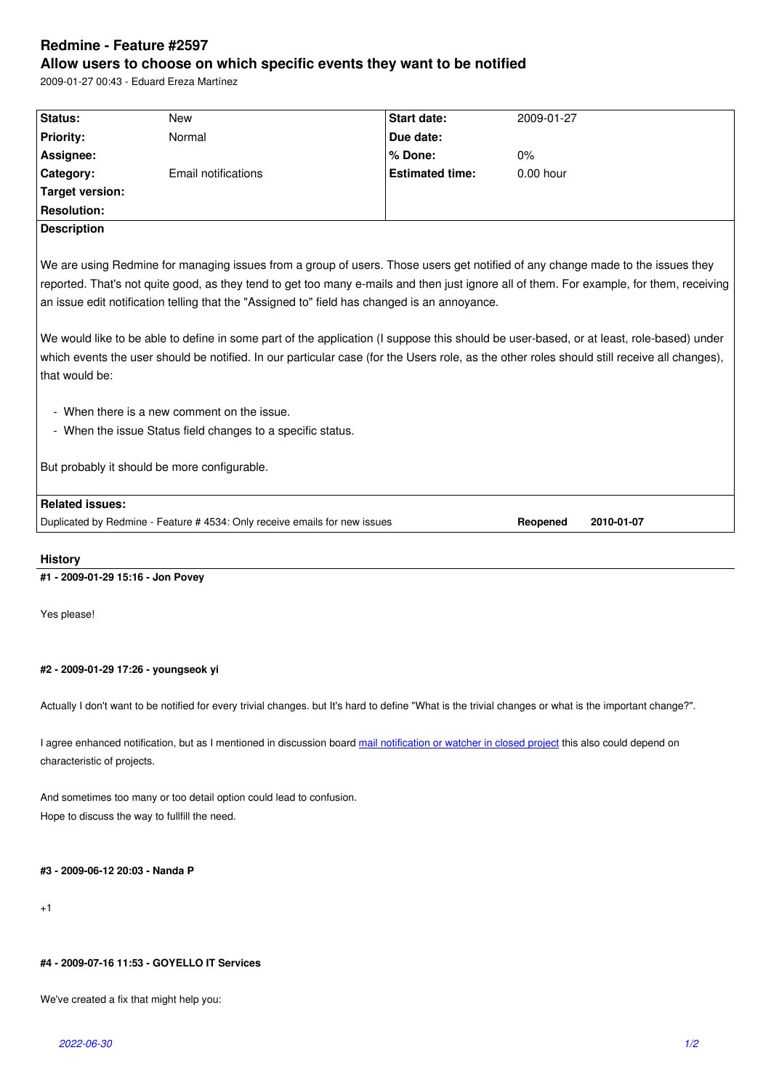#### **Allow users to choose on which specific events they want to be notified**

2009-01-27 00:43 - Eduard Ereza Martínez

| Status:                                                                                                                                  | <b>New</b>                                                                 | Start date:            | 2009-01-27                                                                                                                                  |
|------------------------------------------------------------------------------------------------------------------------------------------|----------------------------------------------------------------------------|------------------------|---------------------------------------------------------------------------------------------------------------------------------------------|
| <b>Priority:</b>                                                                                                                         | Normal                                                                     | Due date:              |                                                                                                                                             |
| Assignee:                                                                                                                                |                                                                            | % Done:                | $0\%$                                                                                                                                       |
| Category:                                                                                                                                | Email notifications                                                        | <b>Estimated time:</b> | $0.00$ hour                                                                                                                                 |
| <b>Target version:</b>                                                                                                                   |                                                                            |                        |                                                                                                                                             |
| <b>Resolution:</b>                                                                                                                       |                                                                            |                        |                                                                                                                                             |
| <b>Description</b>                                                                                                                       |                                                                            |                        |                                                                                                                                             |
|                                                                                                                                          |                                                                            |                        |                                                                                                                                             |
| We are using Redmine for managing issues from a group of users. Those users get notified of any change made to the issues they           |                                                                            |                        |                                                                                                                                             |
| reported. That's not quite good, as they tend to get too many e-mails and then just ignore all of them. For example, for them, receiving |                                                                            |                        |                                                                                                                                             |
| an issue edit notification telling that the "Assigned to" field has changed is an annoyance.                                             |                                                                            |                        |                                                                                                                                             |
|                                                                                                                                          |                                                                            |                        |                                                                                                                                             |
|                                                                                                                                          |                                                                            |                        | We would like to be able to define in some part of the application (I suppose this should be user-based, or at least, role-based) under     |
|                                                                                                                                          |                                                                            |                        | which events the user should be notified. In our particular case (for the Users role, as the other roles should still receive all changes), |
| that would be:                                                                                                                           |                                                                            |                        |                                                                                                                                             |
|                                                                                                                                          |                                                                            |                        |                                                                                                                                             |
|                                                                                                                                          | - When there is a new comment on the issue.                                |                        |                                                                                                                                             |
| - When the issue Status field changes to a specific status.                                                                              |                                                                            |                        |                                                                                                                                             |
|                                                                                                                                          |                                                                            |                        |                                                                                                                                             |
|                                                                                                                                          |                                                                            |                        |                                                                                                                                             |
|                                                                                                                                          | But probably it should be more configurable.                               |                        |                                                                                                                                             |
|                                                                                                                                          |                                                                            |                        |                                                                                                                                             |
| <b>Related issues:</b>                                                                                                                   |                                                                            |                        |                                                                                                                                             |
|                                                                                                                                          | Duplicated by Redmine - Feature # 4534: Only receive emails for new issues |                        | Reopened<br>2010-01-07                                                                                                                      |

## **History**

## **#1 - 2009-01-29 15:16 - Jon Povey**

Yes please!

#### **#2 - 2009-01-29 17:26 - youngseok yi**

Actually I don't want to be notified for every trivial changes. but It's hard to define "What is the trivial changes or what is the important change?".

I agree enhanced notification, but as I mentioned in discussion board mail notification or watcher in closed project this also could depend on characteristic of projects.

And sometimes too many or too detail option could lead to confusion. Hope to discuss the way to fullfill the need.

#### **#3 - 2009-06-12 20:03 - Nanda P**

+1

## **#4 - 2009-07-16 11:53 - GOYELLO IT Services**

We've created a fix that might help you: